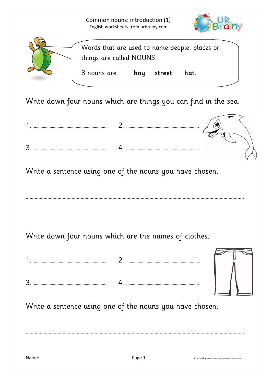Common nouns: introduction (1) English worksheets from urbrainy.com





Write down four nouns which are things you can find in the sea.

|   |     | <br>. |  |
|---|-----|-------|--|
|   |     |       |  |
| ∽ | . . |       |  |

Write a sentence using one of the nouns you have chosen.

………………………………………………………………………………………………………………………………………………………

Write down four nouns which are the names of clothes.

1. ………………………………………………………. 2. ………………………………………………………. 3. ………………………………………………………. 4. ……………………………………………………….



Write a sentence using one of the nouns you have chosen.

………………………………………………………………………………………………………………………………………………………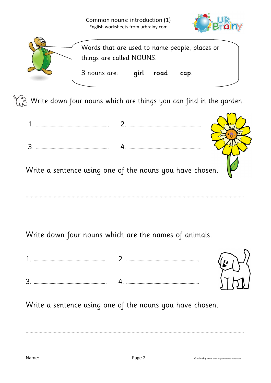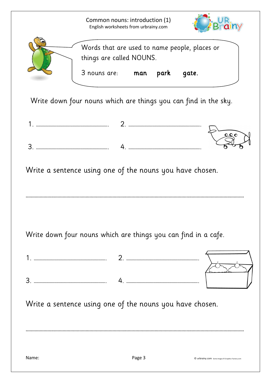Common nouns: introduction (1) English worksheets from urbrainy.com





Write down four nouns which are things you can find in the sky.



Write a sentence using one of the nouns you have chosen.

Write down four nouns which are things you can find in a cafe.

………………………………………………………………………………………………………………………………………………………

1. ………………………………………………………. 2. ………………………………………………………. 3. ………………………………………………………. 4. ……………………………………………………….

Write a sentence using one of the nouns you have chosen.

………………………………………………………………………………………………………………………………………………………